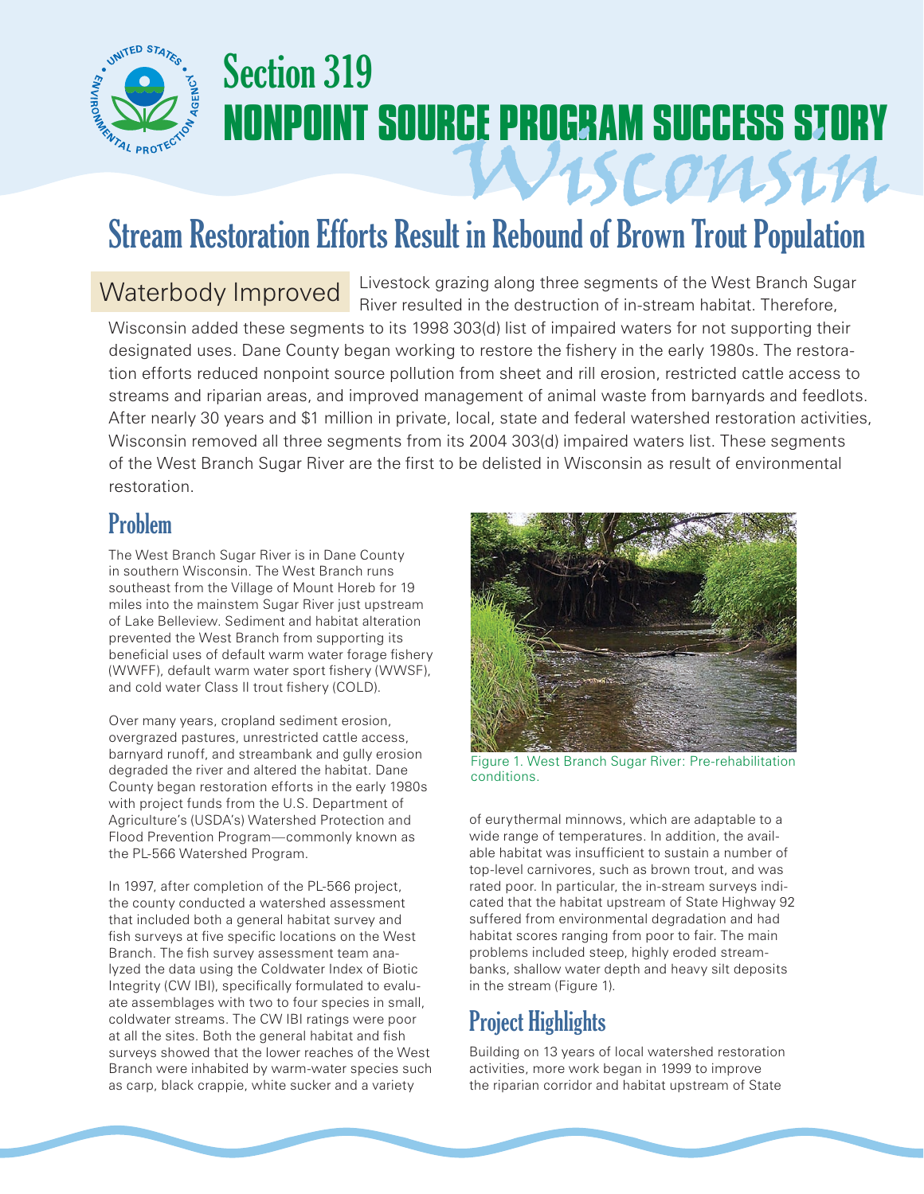

# Section 319 **NONPOINT SOURCE PROGRAM SUCCESS STORY**

# Stream Restoration Efforts Result in Rebound of Brown Trout Population

### Waterbody Improved

Livestock grazing along three segments of the West Branch Sugar River resulted in the destruction of in-stream habitat. Therefore,

Wisconsin

Wisconsin added these segments to its 1998 303(d) list of impaired waters for not supporting their designated uses. Dane County began working to restore the fishery in the early 1980s. The restoration efforts reduced nonpoint source pollution from sheet and rill erosion, restricted cattle access to streams and riparian areas, and improved management of animal waste from barnyards and feedlots. After nearly 30 years and \$1 million in private, local, state and federal watershed restoration activities, Wisconsin removed all three segments from its 2004 303(d) impaired waters list. These segments of the West Branch Sugar River are the first to be delisted in Wisconsin as result of environmental restoration.

#### Problem

The West Branch Sugar River is in Dane County in southern Wisconsin. The West Branch runs southeast from the Village of Mount Horeb for 19 miles into the mainstem Sugar River just upstream of Lake Belleview. Sediment and habitat alteration prevented the West Branch from supporting its beneficial uses of default warm water forage fishery (WWFF), default warm water sport fishery (WWSF), and cold water Class II trout fishery (COLD).

Over many years, cropland sediment erosion, overgrazed pastures, unrestricted cattle access, barnyard runoff, and streambank and gully erosion degraded the river and altered the habitat. Dane County began restoration efforts in the early 1980s with project funds from the U.S. Department of Agriculture's (USDA's) Watershed Protection and Flood Prevention Program—commonly known as the PL-566 Watershed Program.

In 1997, after completion of the PL-566 project, the county conducted a watershed assessment that included both a general habitat survey and fish surveys at five specific locations on the West Branch. The fish survey assessment team analyzed the data using the Coldwater Index of Biotic Integrity (CW IBI), specifically formulated to evaluate assemblages with two to four species in small, coldwater streams. The CW IBI ratings were poor at all the sites. Both the general habitat and fish surveys showed that the lower reaches of the West Branch were inhabited by warm-water species such as carp, black crappie, white sucker and a variety



Figure 1. West Branch Sugar River: Pre-rehabilitation conditions.

of eurythermal minnows, which are adaptable to a wide range of temperatures. In addition, the available habitat was insufficient to sustain a number of top-level carnivores, such as brown trout, and was rated poor. In particular, the in-stream surveys indicated that the habitat upstream of State Highway 92 suffered from environmental degradation and had habitat scores ranging from poor to fair. The main problems included steep, highly eroded streambanks, shallow water depth and heavy silt deposits in the stream (Figure 1).

## Project Highlights

Building on 13 years of local watershed restoration activities, more work began in 1999 to improve the riparian corridor and habitat upstream of State